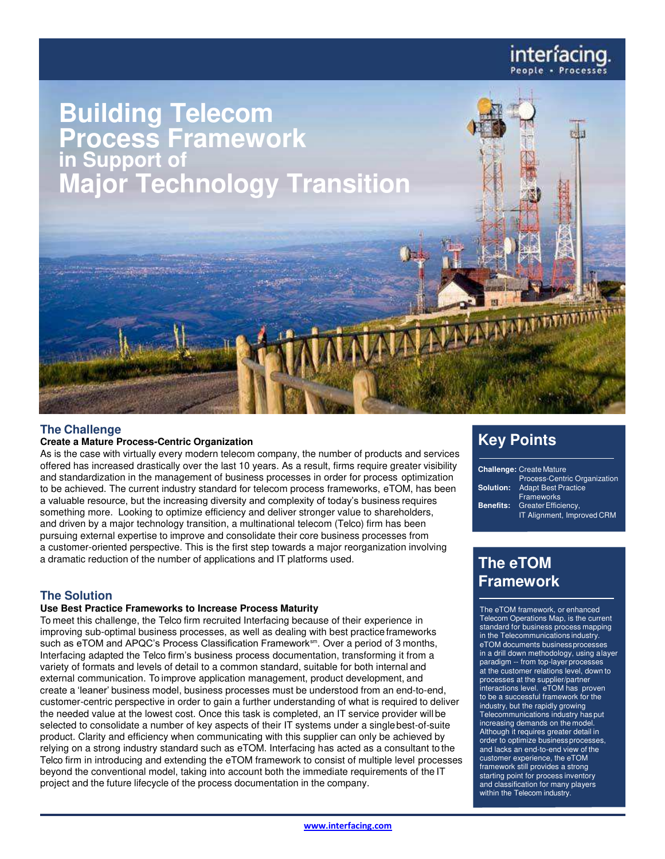

# **The Challenge**

## **Create a Mature Process-Centric Organization**

As is the case with virtually every modern telecom company, the number of products and services offered has increased drastically over the last 10 years. As a result, firms require greater visibility and standardization in the management of business processes in order for process optimization to be achieved. The current industry standard for telecom process frameworks, eTOM, has been a valuable resource, but the increasing diversity and complexity of today's business requires something more. Looking to optimize efficiency and deliver stronger value to shareholders, and driven by a major technology transition, a multinational telecom (Telco) firm has been pursuing external expertise to improve and consolidate their core business processes from a customer-oriented perspective. This is the first step towards a major reorganization involving a dramatic reduction of the number of applications and IT platforms used.

# **The Solution**

#### **Use Best Practice Frameworks to Increase Process Maturity**

To meet this challenge, the Telco firm recruited Interfacing because of their experience in improving sub-optimal business processes, as well as dealing with best practice frameworks such as eTOM and APQC's Process Classification Framework<sup>sm</sup>. Over a period of 3 months, Interfacing adapted the Telco firm's business process documentation, transforming it from a variety of formats and levels of detail to a common standard, suitable for both internal and external communication. To improve application management, product development, and create a 'leaner' business model, business processes must be understood from an end-to-end, customer-centric perspective in order to gain a further understanding of what is required to deliver the needed value at the lowest cost. Once this task is completed, an IT service provider will be selected to consolidate a number of key aspects of their IT systems under a single best-of-suite product. Clarity and efficiency when communicating with this supplier can only be achieved by relying on a strong industry standard such as eTOM. Interfacing has acted as a consultant to the Telco firm in introducing and extending the eTOM framework to consist of multiple level processes beyond the conventional model, taking into account both the immediate requirements of the IT project and the future lifecycle of the process documentation in the company.

# **Key Points**

|                  | <b>Challenge: Create Mature</b>     |
|------------------|-------------------------------------|
|                  | <b>Process-Centric Organization</b> |
| Solution:        | <b>Adapt Best Practice</b>          |
|                  | Frameworks                          |
| <b>Benefits:</b> | Greater Efficiency,                 |
|                  | IT Alignment, Improved CRM          |
|                  |                                     |

# **The eTOM Framework**

The eTOM framework, or enhanced Telecom Operations Map, is the current standard for business process mapping in the Telecommunications industry. eTOM documents business processes in a drill down methodology, using a layer paradigm -- from top-layer processes at the customer relations level, down to processes at the supplier/partner interactions level. eTOM has proven to be a successful framework for the industry, but the rapidly growing Telecommunications industry has put increasing demands on the model. Although it requires greater detail in order to optimize business processes, and lacks an end-to-end view of the customer experience, the eTOM framework still provides a strong starting point for process inventory and classification for many players within the Telecom industry.